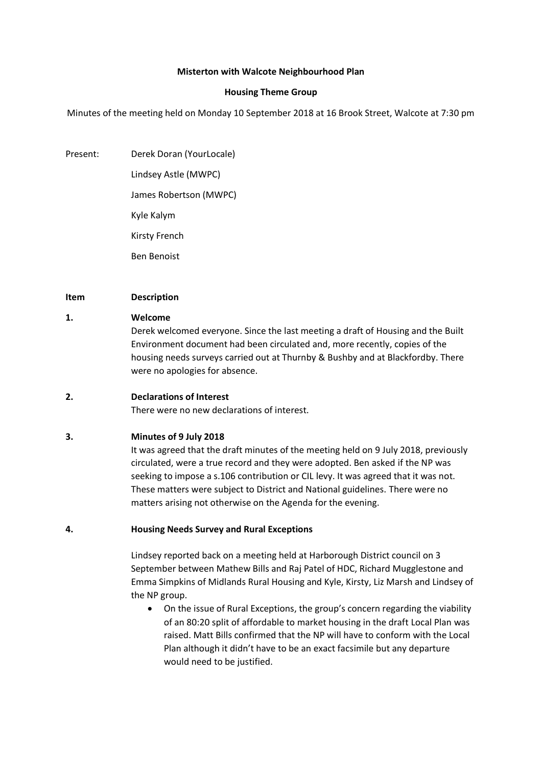# **Misterton with Walcote Neighbourhood Plan**

# **Housing Theme Group**

Minutes of the meeting held on Monday 10 September 2018 at 16 Brook Street, Walcote at 7:30 pm

Present: Derek Doran (YourLocale) Lindsey Astle (MWPC) James Robertson (MWPC) Kyle Kalym Kirsty French Ben Benoist

# **Item Description**

# **1. Welcome**

Derek welcomed everyone. Since the last meeting a draft of Housing and the Built Environment document had been circulated and, more recently, copies of the housing needs surveys carried out at Thurnby & Bushby and at Blackfordby. There were no apologies for absence.

# **2. Declarations of Interest**

There were no new declarations of interest.

# **3. Minutes of 9 July 2018**

It was agreed that the draft minutes of the meeting held on 9 July 2018, previously circulated, were a true record and they were adopted. Ben asked if the NP was seeking to impose a s.106 contribution or CIL levy. It was agreed that it was not. These matters were subject to District and National guidelines. There were no matters arising not otherwise on the Agenda for the evening.

#### **4. Housing Needs Survey and Rural Exceptions**

Lindsey reported back on a meeting held at Harborough District council on 3 September between Mathew Bills and Raj Patel of HDC, Richard Mugglestone and Emma Simpkins of Midlands Rural Housing and Kyle, Kirsty, Liz Marsh and Lindsey of the NP group.

• On the issue of Rural Exceptions, the group's concern regarding the viability of an 80:20 split of affordable to market housing in the draft Local Plan was raised. Matt Bills confirmed that the NP will have to conform with the Local Plan although it didn't have to be an exact facsimile but any departure would need to be justified.